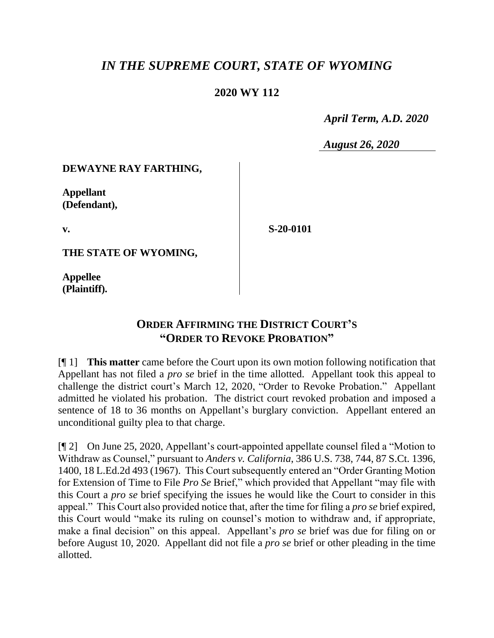# *IN THE SUPREME COURT, STATE OF WYOMING*

### **2020 WY 112**

 *April Term, A.D. 2020*

*August 26, 2020*

#### **DEWAYNE RAY FARTHING,**

**Appellant (Defendant),**

**v.**

**S-20-0101**

**THE STATE OF WYOMING,**

**Appellee (Plaintiff).**

# **ORDER AFFIRMING THE DISTRICT COURT'S "ORDER TO REVOKE PROBATION"**

[¶ 1] **This matter** came before the Court upon its own motion following notification that Appellant has not filed a *pro se* brief in the time allotted. Appellant took this appeal to challenge the district court's March 12, 2020, "Order to Revoke Probation." Appellant admitted he violated his probation. The district court revoked probation and imposed a sentence of 18 to 36 months on Appellant's burglary conviction. Appellant entered an unconditional guilty plea to that charge.

[¶ 2] On June 25, 2020, Appellant's court-appointed appellate counsel filed a "Motion to Withdraw as Counsel," pursuant to *Anders v. California*, 386 U.S. 738, 744, 87 S.Ct. 1396, 1400, 18 L.Ed.2d 493 (1967). This Court subsequently entered an "Order Granting Motion for Extension of Time to File *Pro Se* Brief," which provided that Appellant "may file with this Court a *pro se* brief specifying the issues he would like the Court to consider in this appeal." This Court also provided notice that, after the time for filing a *pro se* brief expired, this Court would "make its ruling on counsel's motion to withdraw and, if appropriate, make a final decision" on this appeal. Appellant's *pro se* brief was due for filing on or before August 10, 2020. Appellant did not file a *pro se* brief or other pleading in the time allotted.